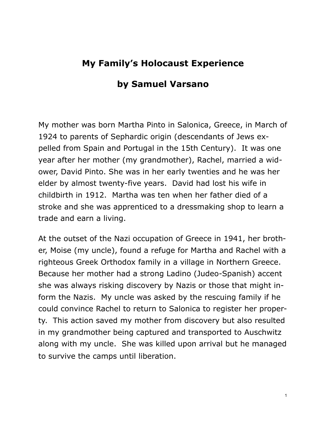## **My Family's Holocaust Experience**

## **by Samuel Varsano**

My mother was born Martha Pinto in Salonica, Greece, in March of 1924 to parents of Sephardic origin (descendants of Jews expelled from Spain and Portugal in the 15th Century). It was one year after her mother (my grandmother), Rachel, married a widower, David Pinto. She was in her early twenties and he was her elder by almost twenty-five years. David had lost his wife in childbirth in 1912. Martha was ten when her father died of a stroke and she was apprenticed to a dressmaking shop to learn a trade and earn a living.

At the outset of the Nazi occupation of Greece in 1941, her brother, Moise (my uncle), found a refuge for Martha and Rachel with a righteous Greek Orthodox family in a village in Northern Greece. Because her mother had a strong Ladino (Judeo-Spanish) accent she was always risking discovery by Nazis or those that might inform the Nazis. My uncle was asked by the rescuing family if he could convince Rachel to return to Salonica to register her property. This action saved my mother from discovery but also resulted in my grandmother being captured and transported to Auschwitz along with my uncle. She was killed upon arrival but he managed to survive the camps until liberation.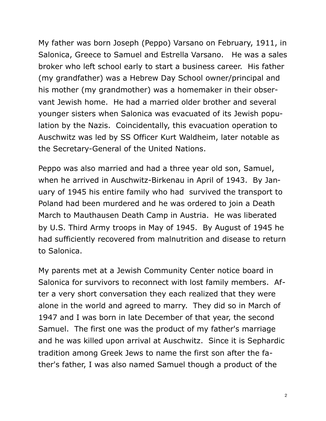My father was born Joseph (Peppo) Varsano on February, 1911, in Salonica, Greece to Samuel and Estrella Varsano. He was a sales broker who left school early to start a business career. His father (my grandfather) was a Hebrew Day School owner/principal and his mother (my grandmother) was a homemaker in their observant Jewish home. He had a married older brother and several younger sisters when Salonica was evacuated of its Jewish population by the Nazis. Coincidentally, this evacuation operation to Auschwitz was led by SS Officer Kurt Waldheim, later notable as the Secretary-General of the United Nations.

Peppo was also married and had a three year old son, Samuel, when he arrived in Auschwitz-Birkenau in April of 1943. By January of 1945 his entire family who had survived the transport to Poland had been murdered and he was ordered to join a Death March to Mauthausen Death Camp in Austria. He was liberated by U.S. Third Army troops in May of 1945. By August of 1945 he had sufficiently recovered from malnutrition and disease to return to Salonica.

My parents met at a Jewish Community Center notice board in Salonica for survivors to reconnect with lost family members. After a very short conversation they each realized that they were alone in the world and agreed to marry. They did so in March of 1947 and I was born in late December of that year, the second Samuel. The first one was the product of my father's marriage and he was killed upon arrival at Auschwitz. Since it is Sephardic tradition among Greek Jews to name the first son after the father's father, I was also named Samuel though a product of the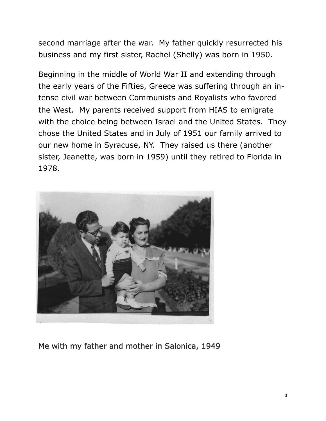second marriage after the war. My father quickly resurrected his business and my first sister, Rachel (Shelly) was born in 1950.

Beginning in the middle of World War II and extending through the early years of the Fifties, Greece was suffering through an intense civil war between Communists and Royalists who favored the West. My parents received support from HIAS to emigrate with the choice being between Israel and the United States. They chose the United States and in July of 1951 our family arrived to our new home in Syracuse, NY. They raised us there (another sister, Jeanette, was born in 1959) until they retired to Florida in 1978.



Me with my father and mother in Salonica, 1949